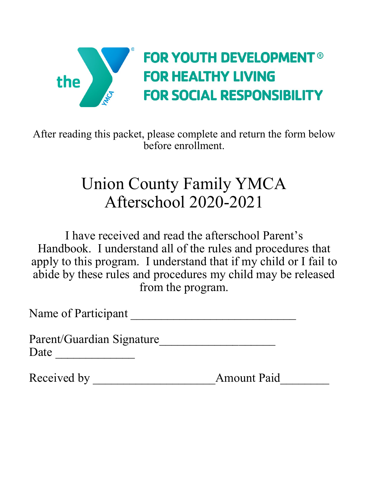

After reading this packet, please complete and return the form below before enrollment.

## Union County Family YMCA Afterschool 2020-2021

I have received and read the afterschool Parent's Handbook. I understand all of the rules and procedures that apply to this program. I understand that if my child or I fail to abide by these rules and procedures my child may be released from the program.

Name of Participant \_\_\_\_\_\_\_\_\_\_\_\_\_\_\_\_\_\_\_\_\_\_\_\_\_\_\_

Parent/Guardian Signature\_\_\_\_\_\_\_\_\_\_\_\_\_\_\_\_\_\_\_ Date \_\_\_\_\_\_\_\_\_\_\_\_\_

Received by \_\_\_\_\_\_\_\_\_\_\_\_\_\_\_\_\_\_\_\_Amount Paid\_\_\_\_\_\_\_\_